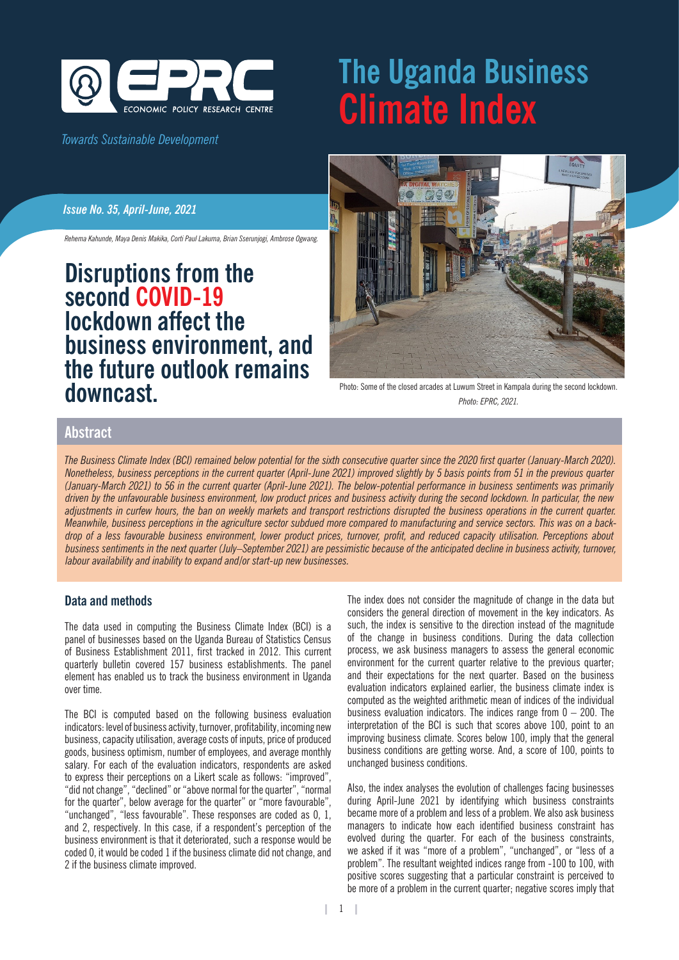

## *Towards Sustainable Development*

# **The Uganda Business Climate Index**

#### *Issue No. 35, April-June, 2021*

*Rehema Kahunde, Maya Denis Makika, Corti Paul Lakuma, Brian Sserunjogi, Ambrose Ogwang.*

# **Disruptions from the second COVID-19 lockdown affect the business environment, and the future outlook remains downcast.**



Photo: Some of the closed arcades at Luwum Street in Kampala during the second lockdown. *Photo: EPRC, 2021.*

### **Abstract**

*The Business Climate Index (BCI) remained below potential for the sixth consecutive quarter since the 2020 first quarter (January-March 2020). Nonetheless, business perceptions in the current quarter (April-June 2021) improved slightly by 5 basis points from 51 in the previous quarter (January-March 2021) to 56 in the current quarter (April-June 2021). The below-potential performance in business sentiments was primarily driven by the unfavourable business environment, low product prices and business activity during the second lockdown. In particular, the new adjustments in curfew hours, the ban on weekly markets and transport restrictions disrupted the business operations in the current quarter. Meanwhile, business perceptions in the agriculture sector subdued more compared to manufacturing and service sectors. This was on a backdrop of a less favourable business environment, lower product prices, turnover, profit, and reduced capacity utilisation. Perceptions about business sentiments in the next quarter (July–September 2021) are pessimistic because of the anticipated decline in business activity, turnover, labour availability and inability to expand and/or start-up new businesses.* 

#### **Data and methods**

The data used in computing the Business Climate Index (BCI) is a panel of businesses based on the Uganda Bureau of Statistics Census of Business Establishment 2011, first tracked in 2012. This current quarterly bulletin covered 157 business establishments. The panel element has enabled us to track the business environment in Uganda over time.

The BCI is computed based on the following business evaluation indicators: level of business activity, turnover, profitability, incoming new business, capacity utilisation, average costs of inputs, price of produced goods, business optimism, number of employees, and average monthly salary. For each of the evaluation indicators, respondents are asked to express their perceptions on a Likert scale as follows: "improved", "did not change", "declined" or "above normal for the quarter", "normal for the quarter", below average for the quarter" or "more favourable", "unchanged", "less favourable". These responses are coded as 0, 1, and 2, respectively. In this case, if a respondent's perception of the business environment is that it deteriorated, such a response would be coded 0, it would be coded 1 if the business climate did not change, and 2 if the business climate improved.

The index does not consider the magnitude of change in the data but considers the general direction of movement in the key indicators. As such, the index is sensitive to the direction instead of the magnitude of the change in business conditions. During the data collection process, we ask business managers to assess the general economic environment for the current quarter relative to the previous quarter; and their expectations for the next quarter. Based on the business evaluation indicators explained earlier, the business climate index is computed as the weighted arithmetic mean of indices of the individual business evaluation indicators. The indices range from  $0 - 200$ . The interpretation of the BCI is such that scores above 100, point to an improving business climate. Scores below 100, imply that the general business conditions are getting worse. And, a score of 100, points to unchanged business conditions.

Also, the index analyses the evolution of challenges facing businesses during April-June 2021 by identifying which business constraints became more of a problem and less of a problem. We also ask business managers to indicate how each identified business constraint has evolved during the quarter. For each of the business constraints, we asked if it was "more of a problem", "unchanged", or "less of a problem". The resultant weighted indices range from -100 to 100, with positive scores suggesting that a particular constraint is perceived to be more of a problem in the current quarter; negative scores imply that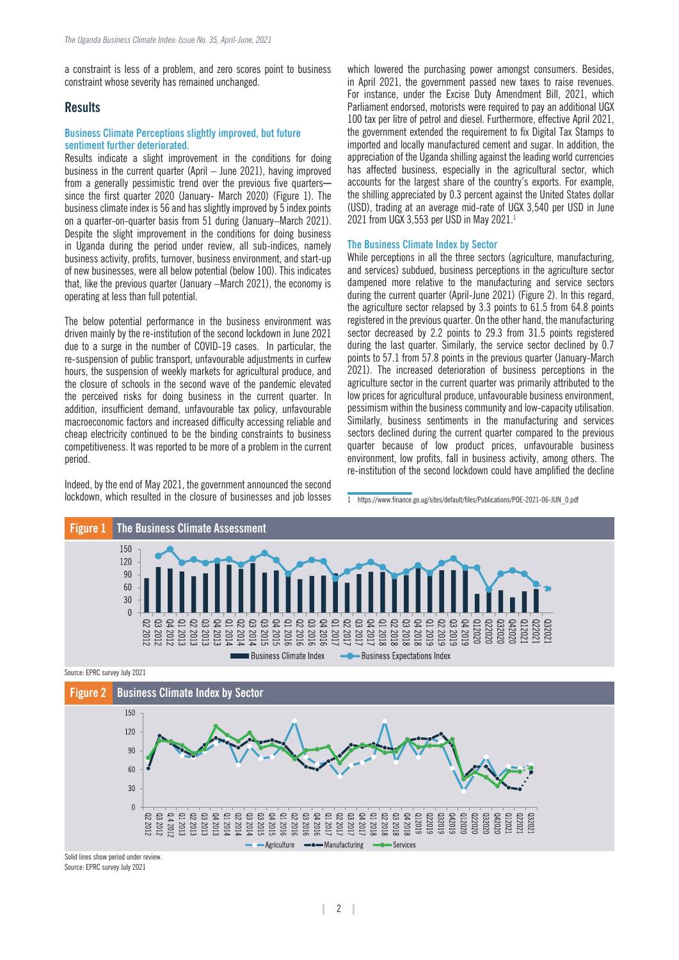a constraint is less of a problem, and zero scores point to business constraint whose severity has remained unchanged.

#### **Results**

#### **Business Climate Perceptions slightly improved, but future sentiment further deteriorated.**

Results indicate a slight improvement in the conditions for doing business in the current quarter (April – June 2021), having improved from a generally pessimistic trend over the previous five quarterssince the first quarter 2020 (January- March 2020) (Figure 1). The business climate index is 56 and has slightly improved by 5 index points on a quarter-on-quarter basis from 51 during (January–March 2021). Despite the slight improvement in the conditions for doing business in Uganda during the period under review, all sub-indices, namely business activity, profits, turnover, business environment, and start-up of new businesses, were all below potential (below 100). This indicates that, like the previous quarter (January –March 2021), the economy is operating at less than full potential.

The below potential performance in the business environment was driven mainly by the re-institution of the second lockdown in June 2021 due to a surge in the number of COVID-19 cases. In particular, the re-suspension of public transport, unfavourable adjustments in curfew hours, the suspension of weekly markets for agricultural produce, and the closure of schools in the second wave of the pandemic elevated the perceived risks for doing business in the current quarter. In addition, insufficient demand, unfavourable tax policy, unfavourable macroeconomic factors and increased difficulty accessing reliable and cheap electricity continued to be the binding constraints to business competitiveness. It was reported to be more of a problem in the current period.

Indeed, by the end of May 2021, the government announced the second lockdown, which resulted in the closure of businesses and job losses

which lowered the purchasing power amongst consumers. Besides, in April 2021, the government passed new taxes to raise revenues. For instance, under the Excise Duty Amendment Bill, 2021, which Parliament endorsed, motorists were required to pay an additional UGX 100 tax per litre of petrol and diesel. Furthermore, effective April 2021, the government extended the requirement to fix Digital Tax Stamps to imported and locally manufactured cement and sugar. In addition, the appreciation of the Uganda shilling against the leading world currencies has affected business, especially in the agricultural sector, which accounts for the largest share of the country's exports. For example, the shilling appreciated by 0.3 percent against the United States dollar (USD), trading at an average mid-rate of UGX 3,540 per USD in June 2021 from UGX 3,553 per USD in May 2021.1

#### **The Business Climate Index by Sector**

While perceptions in all the three sectors (agriculture, manufacturing, and services) subdued, business perceptions in the agriculture sector dampened more relative to the manufacturing and service sectors during the current quarter (April-June 2021) (Figure 2). In this regard, the agriculture sector relapsed by 3.3 points to 61.5 from 64.8 points registered in the previous quarter. On the other hand, the manufacturing sector decreased by 2.2 points to 29.3 from 31.5 points registered during the last quarter. Similarly, the service sector declined by 0.7 points to 57.1 from 57.8 points in the previous quarter (January-March 2021). The increased deterioration of business perceptions in the agriculture sector in the current quarter was primarily attributed to the low prices for agricultural produce, unfavourable business environment, pessimism within the business community and low-capacity utilisation. Similarly, business sentiments in the manufacturing and services sectors declined during the current quarter compared to the previous quarter because of low product prices, unfavourable business environment, low profits, fall in business activity, among others. The re-institution of the second lockdown could have amplified the decline

<sup>1</sup> https://www.finance.go.ug/sites/default/files/Publications/POE-2021-06-JUN\_0.pdf



Source: EPRC survey July 2021



Source: EPRC survey July 2021 Solid lines show period under review.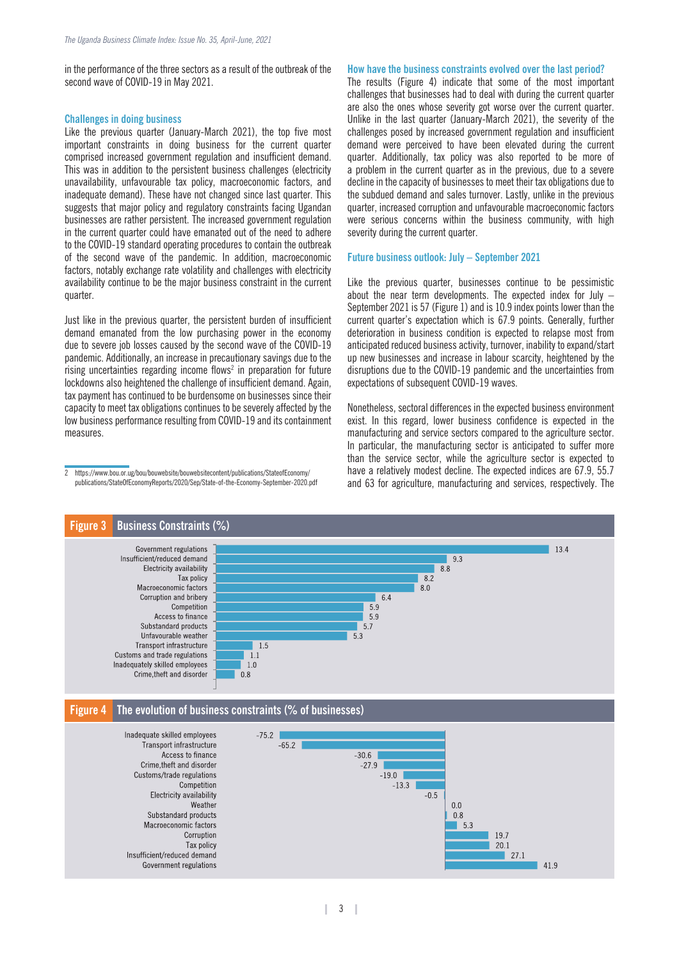in the performance of the three sectors as a result of the outbreak of the second wave of COVID-19 in May 2021.

#### **Challenges in doing business**

Like the previous quarter (January-March 2021), the top five most important constraints in doing business for the current quarter comprised increased government regulation and insufficient demand. This was in addition to the persistent business challenges (electricity unavailability, unfavourable tax policy, macroeconomic factors, and inadequate demand). These have not changed since last quarter. This suggests that major policy and regulatory constraints facing Ugandan businesses are rather persistent. The increased government regulation in the current quarter could have emanated out of the need to adhere to the COVID-19 standard operating procedures to contain the outbreak of the second wave of the pandemic. In addition, macroeconomic factors, notably exchange rate volatility and challenges with electricity availability continue to be the major business constraint in the current quarter.

Just like in the previous quarter, the persistent burden of insufficient demand emanated from the low purchasing power in the economy due to severe job losses caused by the second wave of the COVID-19 pandemic. Additionally, an increase in precautionary savings due to the rising uncertainties regarding income flows<sup>2</sup> in preparation for future lockdowns also heightened the challenge of insufficient demand. Again, tax payment has continued to be burdensome on businesses since their capacity to meet tax obligations continues to be severely affected by the low business performance resulting from COVID-19 and its containment measures.

#### **How have the business constraints evolved over the last period?**

The results (Figure 4) indicate that some of the most important challenges that businesses had to deal with during the current quarter are also the ones whose severity got worse over the current quarter. Unlike in the last quarter (January-March 2021), the severity of the challenges posed by increased government regulation and insufficient demand were perceived to have been elevated during the current quarter. Additionally, tax policy was also reported to be more of a problem in the current quarter as in the previous, due to a severe decline in the capacity of businesses to meet their tax obligations due to the subdued demand and sales turnover. Lastly, unlike in the previous quarter, increased corruption and unfavourable macroeconomic factors were serious concerns within the business community, with high severity during the current quarter.

#### **Future business outlook: July – September 2021**

Like the previous quarter, businesses continue to be pessimistic about the near term developments. The expected index for July  $-$ September 2021 is 57 (Figure 1) and is 10.9 index points lower than the current quarter's expectation which is 67.9 points. Generally, further deterioration in business condition is expected to relapse most from anticipated reduced business activity, turnover, inability to expand/start up new businesses and increase in labour scarcity, heightened by the disruptions due to the COVID-19 pandemic and the uncertainties from expectations of subsequent COVID-19 waves.

Nonetheless, sectoral differences in the expected business environment exist. In this regard, lower business confidence is expected in the manufacturing and service sectors compared to the agriculture sector. In particular, the manufacturing sector is anticipated to suffer more than the service sector, while the agriculture sector is expected to have a relatively modest decline. The expected indices are 67.9, 55.7 and 63 for agriculture, manufacturing and services, respectively. The



<sup>2</sup> https://www.bou.or.ug/bou/bouwebsite/bouwebsitecontent/publications/StateofEconomy/ publications/StateOfEconomyReports/2020/Sep/State-of-the-Economy-September-2020.pdf